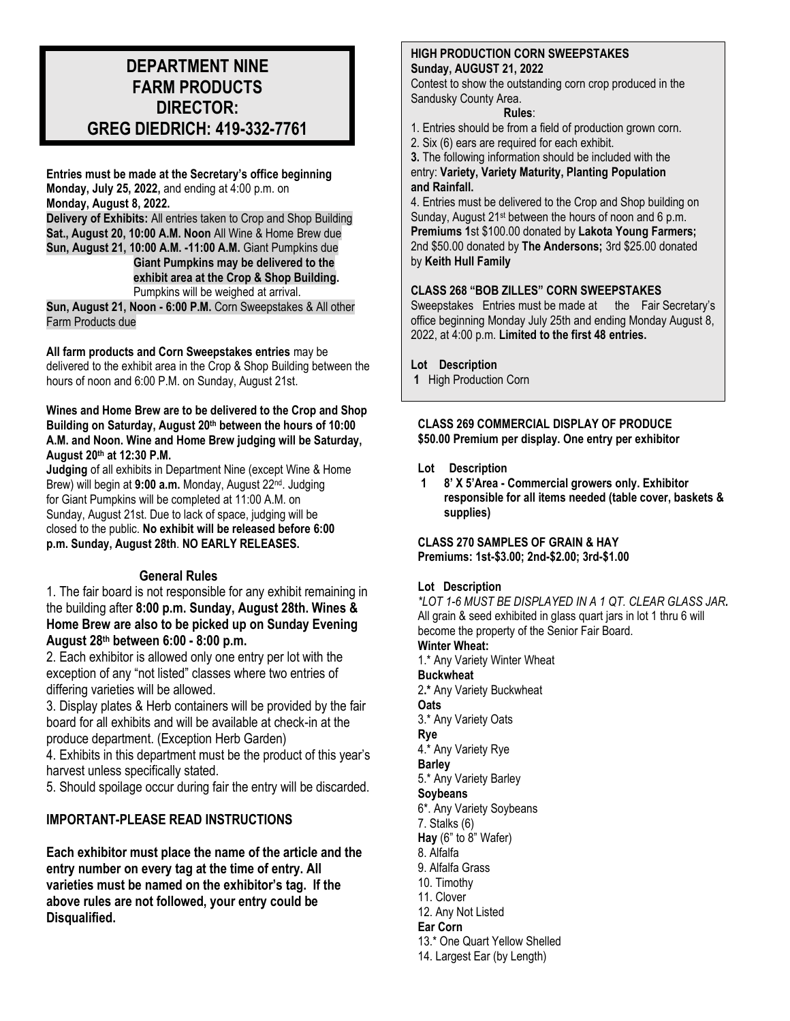# **DEPARTMENT NINE FARM PRODUCTS DIRECTOR: GREG DIEDRICH: 419-332-7761**

**Entries must be made at the Secretary's office beginning Monday, July 25, 2022,** and ending at 4:00 p.m. on **Monday, August 8, 2022.**

**Delivery of Exhibits:** All entries taken to Crop and Shop Building **Sat., August 20, 10:00 A.M. Noon** All Wine & Home Brew due **Sun, August 21, 10:00 A.M. -11:00 A.M.** Giant Pumpkins due **Giant Pumpkins may be delivered to the** 

**exhibit area at the Crop & Shop Building.** 

Pumpkins will be weighed at arrival.

**Sun, August 21, Noon - 6:00 P.M.** Corn Sweepstakes & All other Farm Products due

**All farm products and Corn Sweepstakes entries** may be delivered to the exhibit area in the Crop & Shop Building between the hours of noon and 6:00 P.M. on Sunday, August 21st.

# **Wines and Home Brew are to be delivered to the Crop and Shop Building on Saturday, August 20 th between the hours of 10:00 A.M. and Noon. Wine and Home Brew judging will be Saturday, August 20 th at 12:30 P.M.**

**Judging** of all exhibits in Department Nine (except Wine & Home Brew) will begin at 9:00 a.m. Monday, August 22<sup>nd</sup>. Judging for Giant Pumpkins will be completed at 11:00 A.M. on Sunday, August 21st. Due to lack of space, judging will be closed to the public. **No exhibit will be released before 6:00 p.m. Sunday, August 28th**. **NO EARLY RELEASES.**

# **General Rules**

1. The fair board is not responsible for any exhibit remaining in the building after **8:00 p.m. Sunday, August 28th. Wines & Home Brew are also to be picked up on Sunday Evening August 28 th between 6:00 - 8:00 p.m.**

2. Each exhibitor is allowed only one entry per lot with the exception of any "not listed" classes where two entries of differing varieties will be allowed.

3. Display plates & Herb containers will be provided by the fair board for all exhibits and will be available at check-in at the produce department. (Exception Herb Garden)

4. Exhibits in this department must be the product of this year's harvest unless specifically stated.

5. Should spoilage occur during fair the entry will be discarded.

# **IMPORTANT-PLEASE READ INSTRUCTIONS**

**Each exhibitor must place the name of the article and the entry number on every tag at the time of entry. All varieties must be named on the exhibitor's tag. If the above rules are not followed, your entry could be Disqualified.**

# **HIGH PRODUCTION CORN SWEEPSTAKES Sunday, AUGUST 21, 2022**

Contest to show the outstanding corn crop produced in the Sandusky County Area.

# **Rules**:

- 1. Entries should be from a field of production grown corn.
- 2. Six (6) ears are required for each exhibit.
- **3.** The following information should be included with the entry: **Variety, Variety Maturity, Planting Population and Rainfall.**

4. Entries must be delivered to the Crop and Shop building on Sunday, August 21st between the hours of noon and 6 p.m. **Premiums 1**st \$100.00 donated by **Lakota Young Farmers;** 2nd \$50.00 donated by **The Andersons;** 3rd \$25.00 donated by **Keith Hull Family**

# **CLASS 268 "BOB ZILLES" CORN SWEEPSTAKES**

Sweepstakes Entries must be made at the Fair Secretary's office beginning Monday July 25th and ending Monday August 8, 2022, at 4:00 p.m. **Limited to the first 48 entries.**

# **Lot Description**

**1** High Production Corn

**CLASS 269 COMMERCIAL DISPLAY OF PRODUCE \$50.00 Premium per display. One entry per exhibitor**

# **Lot Description**

**1 8' X 5'Area - Commercial growers only. Exhibitor responsible for all items needed (table cover, baskets & supplies)**

**CLASS 270 SAMPLES OF GRAIN & HAY Premiums: 1st-\$3.00; 2nd-\$2.00; 3rd-\$1.00**

# **Lot Description**

*\*LOT 1-6 MUST BE DISPLAYED IN A 1 QT. CLEAR GLASS JAR.* All grain & seed exhibited in glass quart jars in lot 1 thru 6 will become the property of the Senior Fair Board.

**Winter Wheat:**

1.\* Any Variety Winter Wheat **Buckwheat**

2**.\*** Any Variety Buckwheat

# **Oats**

3.\* Any Variety Oats

**Rye**

4.\* Any Variety Rye

**Barley**

5.\* Any Variety Barley

# **Soybeans**

6\*. Any Variety Soybeans

7. Stalks (6)

- **Hay** (6" to 8" Wafer)
- 8. Alfalfa
- 9. Alfalfa Grass
- 10. Timothy
- 11. Clover
- 12. Any Not Listed

# **Ear Corn**

- 13.\* One Quart Yellow Shelled
- 14. Largest Ear (by Length)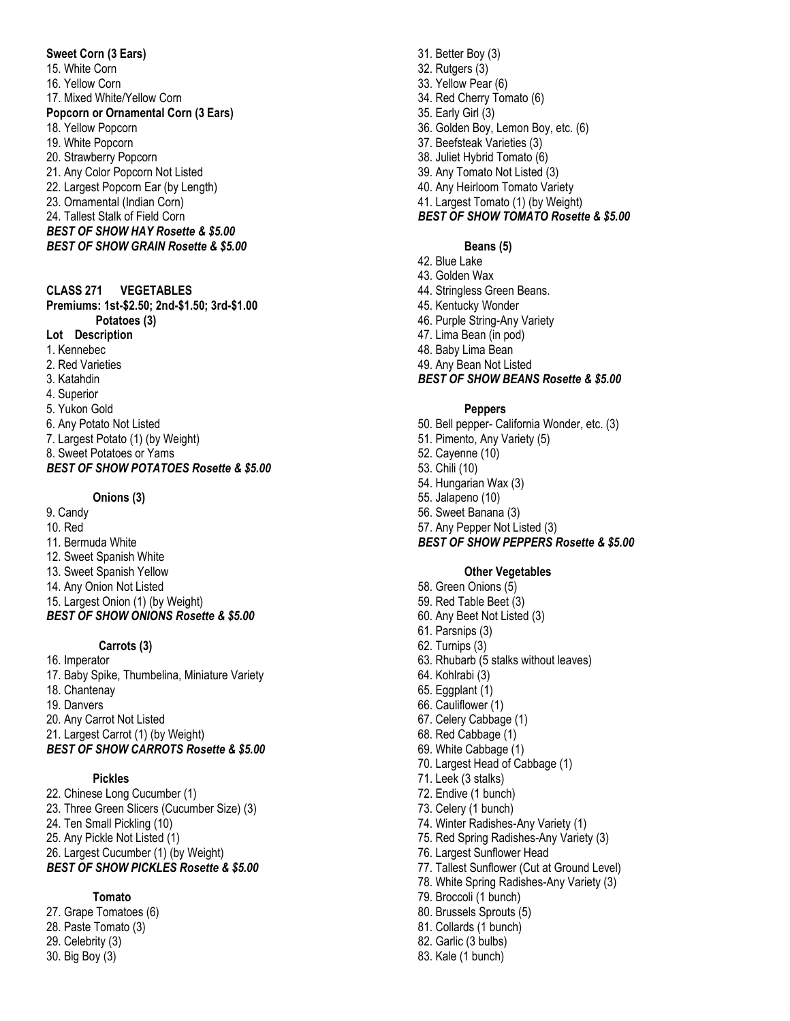#### **Sweet Corn (3 Ears)**

15. White Corn

- 16. Yellow Corn
- 17. Mixed White/Yellow Corn

#### **Popcorn or Ornamental Corn (3 Ears)**

- 18. Yellow Popcorn
- 19. White Popcorn
- 20. Strawberry Popcorn
- 21. Any Color Popcorn Not Listed
- 22. Largest Popcorn Ear (by Length)
- 23. Ornamental (Indian Corn)
- 24. Tallest Stalk of Field Corn
- *BEST OF SHOW HAY Rosette & \$5.00 BEST OF SHOW GRAIN Rosette & \$5.00*

### **CLASS 271 VEGETABLES**

**Premiums: 1st -\$2.50; 2nd -\$1.50; 3rd -\$1.00 Potatoes (3) Lot Description** 1. Kennebec 2. Red Varieties 3. Katahdin 4. Superior 5. Yukon Gold 6. Any Potato Not Listed

7. Largest Potato (1) (by Weight) 8. Sweet Potatoes or Yams *BEST OF SHOW POTATOES Rosette & \$5.00*

# **Onions (3)**

9. Candy 10. Red 11. Bermuda White 12. Sweet Spanish White 13. Sweet Spanish Yellow 14. Any Onion Not Listed 15. Largest Onion (1) (by Weight) *BEST OF SHOW ONIONS Rosette & \$5.00*

## **Carrots (3)**

16. Imperator 17. Baby Spike, Thumbelina, Miniature Variety 18. Chantenay 19. Danvers 20. Any Carrot Not Listed 21. Largest Carrot (1) (by Weight) *BEST OF SHOW CARROTS Rosette & \$5.00*

# **Pickles**

22. Chinese Long Cucumber (1) 23. Three Green Slicers (Cucumber Size) (3) 24. Ten Small Pickling (10) 25. Any Pickle Not Listed (1) 26. Largest Cucumber (1) (by Weight) *BEST OF SHOW PICKLES Rosette & \$5.00*

# **Tomato**

27. Grape Tomatoes (6) 28. Paste Tomato (3) 29. Celebrity (3) 30. Big Boy (3)

31. Better Boy (3) 32. Rutgers (3) 33. Yellow Pear (6) 34. Red Cherry Tomato (6) 35. Early Girl (3) 36. Golden Boy, Lemon Boy, etc. (6) 37. Beefsteak Varieties (3) 38. Juliet Hybrid Tomato (6) 39. Any Tomato Not Listed (3) 40. Any Heirloom Tomato Variety 41. Largest Tomato (1) (by Weight)

# *BEST OF SHOW TOMATO Rosette & \$5.00*

## **Beans (5)**

- 42. Blue Lake
- 43. Golden Wax
- 44. Stringless Green Beans.
- 45. Kentucky Wonder
- 46. Purple String -Any Variety
- 47. Lima Bean (in pod)
- 48. Baby Lima Bean
- 49. Any Bean Not Listed *BEST OF SHOW BEANS Rosette & \$5.00*

### **Peppers**

50. Bell pepper - California Wonder, etc. (3) 51. Pimento, Any Variety (5) 52. Cayenne (10) 53. Chili (10) 54. Hungarian Wax (3) 55. Jalapeno (10) 56. Sweet Banana (3) 57. Any Pepper Not Listed (3) *BEST OF SHOW PEPPERS Rosette & \$5.00*

# **Other Vegetables**

- 58. Green Onions (5) 59. Red Table Beet (3) 60. Any Beet Not Listed (3) 61. Parsnips (3) 62. Turnips (3) 63. Rhubarb (5 stalks without leaves) 64. Kohlrabi (3) 65. Eggplant (1) 66. Cauliflower (1) 67. Celery Cabbage (1) 68. Red Cabbage (1) 69. White Cabbage (1) 70. Largest Head of Cabbage (1) 71. Leek (3 stalks) 72. Endive (1 bunch) 73. Celery (1 bunch) 74. Winter Radishes -Any Variety (1) 75. Red Spring Radishes -Any Variety (3) 76. Largest Sunflower Head 77. Tallest Sunflower (Cut at Ground Level) 78. White Spring Radishes -Any Variety (3) 79. Broccoli (1 bunch) 80. Brussels Sprouts (5) 81. Collards (1 bunch) 82. Garlic (3 bulbs)
	- 83. Kale (1 bunch)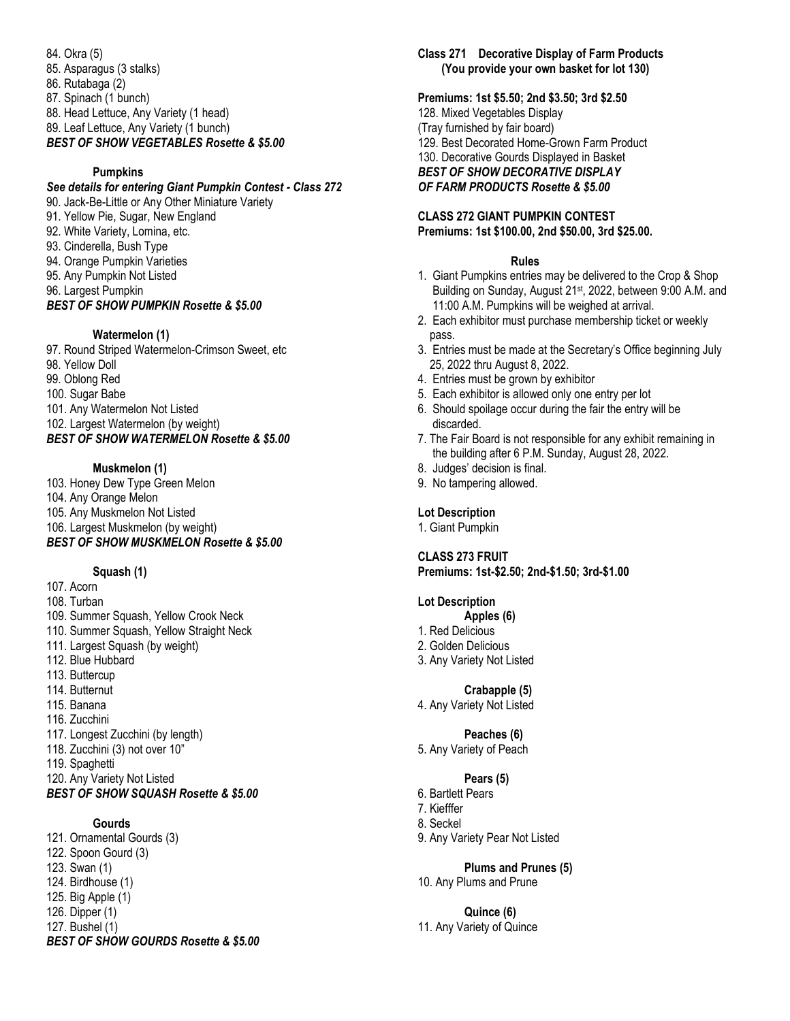84. Okra (5) 85. Asparagus (3 stalks) 86. Rutabaga (2) 87. Spinach (1 bunch) 88. Head Lettuce, Any Variety (1 head) 89. Leaf Lettuce, Any Variety (1 bunch) *BEST OF SHOW VEGETABLES Rosette & \$5.00*

## **Pumpkins**

# *See details for entering Giant Pumpkin Contest - Class 272* 90. Jack-Be-Little or Any Other Miniature Variety 91. Yellow Pie, Sugar, New England 92. White Variety, Lomina, etc. 93. Cinderella, Bush Type 94. Orange Pumpkin Varieties 95. Any Pumpkin Not Listed 96. Largest Pumpkin *BEST OF SHOW PUMPKIN Rosette & \$5.00*

## **Watermelon (1)**

97. Round Striped Watermelon-Crimson Sweet, etc 98. Yellow Doll 99. Oblong Red 100. Sugar Babe 101. Any Watermelon Not Listed 102. Largest Watermelon (by weight) *BEST OF SHOW WATERMELON Rosette & \$5.00*

## **Muskmelon (1)**

103. Honey Dew Type Green Melon 104. Any Orange Melon 105. Any Muskmelon Not Listed 106. Largest Muskmelon (by weight) *BEST OF SHOW MUSKMELON Rosette & \$5.00*

#### **Squash (1)**

107. Acorn 108. Turban 109. Summer Squash, Yellow Crook Neck 110. Summer Squash, Yellow Straight Neck 111. Largest Squash (by weight) 112. Blue Hubbard 113. Buttercup 114. Butternut 115. Banana 116. Zucchini 117. Longest Zucchini (by length) 118. Zucchini (3) not over 10" 119. Spaghetti 120. Any Variety Not Listed *BEST OF SHOW SQUASH Rosette & \$5.00*

# **Gourds**

121. Ornamental Gourds (3) 122. Spoon Gourd (3) 123. Swan (1) 124. Birdhouse (1) 125. Big Apple (1) 126. Dipper (1) 127. Bushel (1)

# *BEST OF SHOW GOURDS Rosette & \$5.00*

**Class 271 Decorative Display of Farm Products (You provide your own basket for lot 130)**

#### **Premiums: 1st \$5.50; 2nd \$3.50; 3rd \$2.50**

128. Mixed Vegetables Display (Tray furnished by fair board) 129. Best Decorated Home-Grown Farm Product 130. Decorative Gourds Displayed in Basket *BEST OF SHOW DECORATIVE DISPLAY OF FARM PRODUCTS Rosette & \$5.00*

## **CLASS 272 GIANT PUMPKIN CONTEST Premiums: 1st \$100.00, 2nd \$50.00, 3rd \$25.00.**

#### **Rules**

- 1. Giant Pumpkins entries may be delivered to the Crop & Shop Building on Sunday, August 21<sup>st</sup>, 2022, between 9:00 A.M. and 11:00 A.M. Pumpkins will be weighed at arrival.
- 2. Each exhibitor must purchase membership ticket or weekly pass.
- 3. Entries must be made at the Secretary's Office beginning July 25, 2022 thru August 8, 2022.
- 4. Entries must be grown by exhibitor
- 5. Each exhibitor is allowed only one entry per lot
- 6. Should spoilage occur during the fair the entry will be discarded.
- 7. The Fair Board is not responsible for any exhibit remaining in the building after 6 P.M. Sunday, August 28, 2022.
- 8. Judges' decision is final.
- 9. No tampering allowed.

# **Lot Description**

1. Giant Pumpkin

# **CLASS 273 FRUIT**

# **Premiums: 1st-\$2.50; 2nd-\$1.50; 3rd-\$1.00**

### **Lot Description**

- **Apples (6)**
- 1. Red Delicious
- 2. Golden Delicious
- 3. Any Variety Not Listed

#### **Crabapple (5)**

4. Any Variety Not Listed

## **Peaches (6)**

5. Any Variety of Peach

# **Pears (5)**

- 6. Bartlett Pears
- 7. Kiefffer
- 8. Seckel
- 9. Any Variety Pear Not Listed

#### **Plums and Prunes (5)** 10. Any Plums and Prune

**Quince (6)** 11. Any Variety of Quince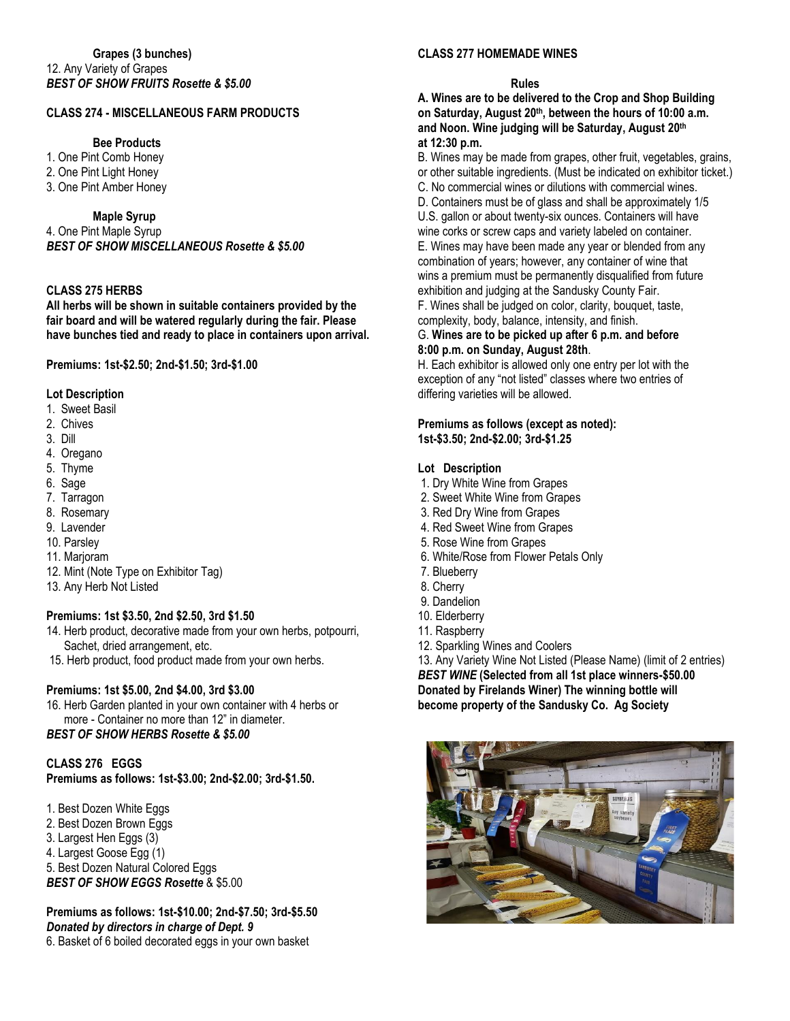# **CLASS 274 - MISCELLANEOUS FARM PRODUCTS**

# **Bee Products**

1. One Pint Comb Honey 2. One Pint Light Honey 3. One Pint Amber Honey

#### **Maple Syrup**

4. One Pint Maple Syrup *BEST OF SHOW MISCELLANEOUS Rosette & \$5.00*

# **CLASS 275 HERBS**

**All herbs will be shown in suitable containers provided by the fair board and will be watered regularly during the fair. Please have bunches tied and ready to place in containers upon arrival.**

**Premiums: 1st-\$2.50; 2nd-\$1.50; 3rd-\$1.00**

## **Lot Description**

- 1. Sweet Basil
- 2. Chives
- 3. Dill
- 4. Oregano
- 5. Thyme
- 6. Sage
- 7. Tarragon
- 8. Rosemary
- 9. Lavender
- 10. Parsley
- 11. Marjoram
- 12. Mint (Note Type on Exhibitor Tag)
- 13. Any Herb Not Listed

#### **Premiums: 1st \$3.50, 2nd \$2.50, 3rd \$1.50**

- 14. Herb product, decorative made from your own herbs, potpourri, Sachet, dried arrangement, etc.
- 15. Herb product, food product made from your own herbs.

#### **Premiums: 1st \$5.00, 2nd \$4.00, 3rd \$3.00**

16. Herb Garden planted in your own container with 4 herbs or more - Container no more than 12" in diameter.

*BEST OF SHOW HERBS Rosette & \$5.00*

## **CLASS 276 EGGS**

**Premiums as follows: 1st-\$3.00; 2nd-\$2.00; 3rd-\$1.50.**

1. Best Dozen White Eggs 2. Best Dozen Brown Eggs 3. Largest Hen Eggs (3) 4. Largest Goose Egg (1) 5. Best Dozen Natural Colored Eggs *BEST OF SHOW EGGS Rosette* & \$5.00

**Premiums as follows: 1st-\$10.00; 2nd-\$7.50; 3rd-\$5.50** *Donated by directors in charge of Dept. 9* 6. Basket of 6 boiled decorated eggs in your own basket

### **CLASS 277 HOMEMADE WINES**

#### **Rules**

**A. Wines are to be delivered to the Crop and Shop Building on Saturday, August 20th , between the hours of 10:00 a.m. and Noon. Wine judging will be Saturday, August 20 th at 12:30 p.m.**

B. Wines may be made from grapes, other fruit, vegetables, grains, or other suitable ingredients. (Must be indicated on exhibitor ticket.) C. No commercial wines or dilutions with commercial wines. D. Containers must be of glass and shall be approximately 1/5 U.S. gallon or about twenty-six ounces. Containers will have wine corks or screw caps and variety labeled on container. E. Wines may have been made any year or blended from any combination of years; however, any container of wine that wins a premium must be permanently disqualified from future exhibition and judging at the Sandusky County Fair. F. Wines shall be judged on color, clarity, bouquet, taste, complexity, body, balance, intensity, and finish.

#### G. **Wines are to be picked up after 6 p.m. and before 8:00 p.m. on Sunday, August 28th**.

H. Each exhibitor is allowed only one entry per lot with the exception of any "not listed" classes where two entries of differing varieties will be allowed.

#### **Premiums as follows (except as noted): 1st-\$3.50; 2nd-\$2.00; 3rd-\$1.25**

#### **Lot Description**

- 1. Dry White Wine from Grapes
- 2. Sweet White Wine from Grapes
- 3. Red Dry Wine from Grapes
- 4. Red Sweet Wine from Grapes
- 5. Rose Wine from Grapes
- 6. White/Rose from Flower Petals Only
- 7. Blueberry
- 8. Cherry
- 9. Dandelion
- 10. Elderberry
- 11. Raspberry
- 12. Sparkling Wines and Coolers

13. Any Variety Wine Not Listed (Please Name) (limit of 2 entries) *BEST WINE* **(Selected from all 1st place winners-\$50.00 Donated by Firelands Winer) The winning bottle will become property of the Sandusky Co. Ag Society**